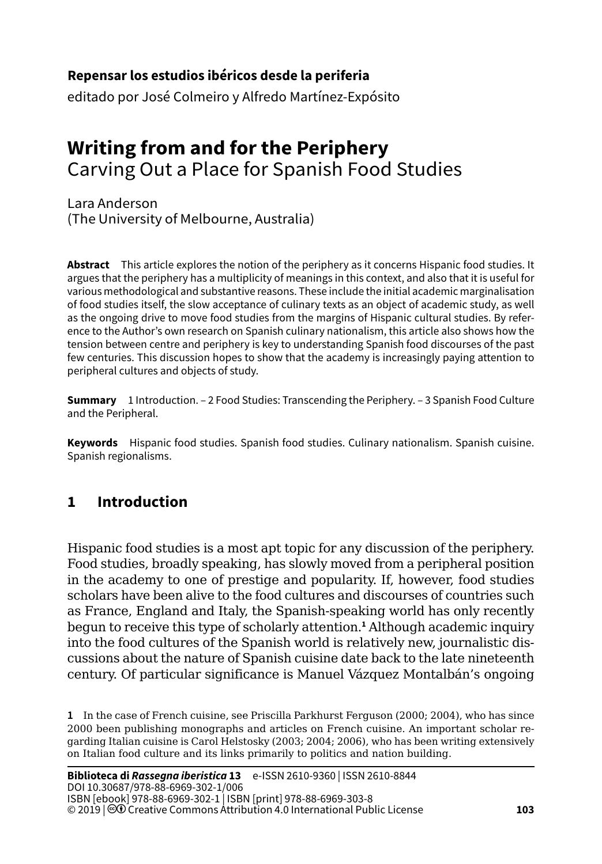#### **103Repensar los estudios ibéricos desde la periferia**

editado por José Colmeiro y Alfredo Martínez-Expósito

# **Writing from and for the Periphery** Carving Out a Place for Spanish Food Studies

Lara Anderson (The University of Melbourne, Australia)

**Abstract** This article explores the notion of the periphery as it concerns Hispanic food studies. It argues that the periphery has a multiplicity of meanings in this context, and also that it is useful for various methodological and substantive reasons. These include the initial academic marginalisation of food studies itself, the slow acceptance of culinary texts as an object of academic study, as well as the ongoing drive to move food studies from the margins of Hispanic cultural studies. By reference to the Author's own research on Spanish culinary nationalism, this article also shows how the tension between centre and periphery is key to understanding Spanish food discourses of the past few centuries. This discussion hopes to show that the academy is increasingly paying attention to peripheral cultures and objects of study.

**Summary** 1 Introduction. – [2 Food Studies: Transcending the Periphery](#page-2-0). – 3 Spanish Food Culture and the Peripheral.

**Keywords** Hispanic food studies. Spanish food studies. Culinary nationalism. Spanish cuisine. Spanish regionalisms.

# **1 Introduction**

Hispanic food studies is a most apt topic for any discussion of the periphery. Food studies, broadly speaking, has slowly moved from a peripheral position in the academy to one of prestige and popularity. If, however, food studies scholars have been alive to the food cultures and discourses of countries such as France, England and Italy, the Spanish-speaking world has only recently begun to receive this type of scholarly attention.**<sup>1</sup>** Although academic inquiry into the food cultures of the Spanish world is relatively new, journalistic discussions about the nature of Spanish cuisine date back to the late nineteenth century. Of particular significance is Manuel Vázquez Montalbán's ongoing

**1** In the case of French cuisine, see Priscilla Parkhurst Ferguson (2000; 2004), who has since 2000 been publishing monographs and articles on French cuisine. An important scholar regarding Italian cuisine is Carol Helstosky (2003; 2004; 2006), who has been writing extensively on Italian food culture and its links primarily to politics and nation building.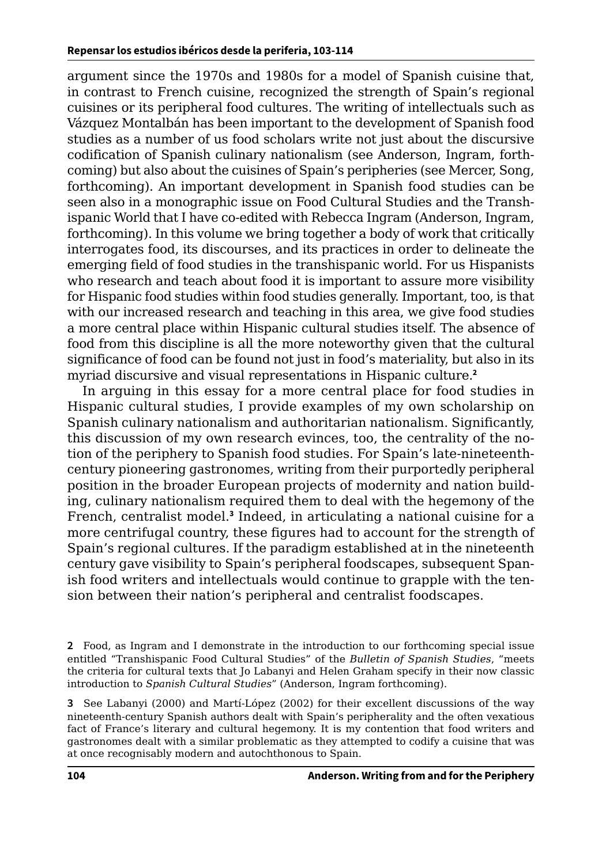argument since the 1970s and 1980s for a model of Spanish cuisine that, in contrast to French cuisine, recognized the strength of Spain's regional cuisines or its peripheral food cultures. The writing of intellectuals such as Vázquez Montalbán has been important to the development of Spanish food studies as a number of us food scholars write not just about the discursive codification of Spanish culinary nationalism (see Anderson, Ingram, forthcoming) but also about the cuisines of Spain's peripheries (see Mercer, Song, forthcoming). An important development in Spanish food studies can be seen also in a monographic issue on Food Cultural Studies and the Transhispanic World that I have co-edited with Rebecca Ingram (Anderson, Ingram, forthcoming). In this volume we bring together a body of work that critically interrogates food, its discourses, and its practices in order to delineate the emerging field of food studies in the transhispanic world. For us Hispanists who research and teach about food it is important to assure more visibility for Hispanic food studies within food studies generally. Important, too, is that with our increased research and teaching in this area, we give food studies a more central place within Hispanic cultural studies itself. The absence of food from this discipline is all the more noteworthy given that the cultural significance of food can be found not just in food's materiality, but also in its myriad discursive and visual representations in Hispanic culture.**<sup>2</sup>**

In arguing in this essay for a more central place for food studies in Hispanic cultural studies, I provide examples of my own scholarship on Spanish culinary nationalism and authoritarian nationalism. Significantly, this discussion of my own research evinces, too, the centrality of the notion of the periphery to Spanish food studies. For Spain's late-nineteenthcentury pioneering gastronomes, writing from their purportedly peripheral position in the broader European projects of modernity and nation building, culinary nationalism required them to deal with the hegemony of the French, centralist model.**<sup>3</sup>** Indeed, in articulating a national cuisine for a more centrifugal country, these figures had to account for the strength of Spain's regional cultures. If the paradigm established at in the nineteenth century gave visibility to Spain's peripheral foodscapes, subsequent Spanish food writers and intellectuals would continue to grapple with the tension between their nation's peripheral and centralist foodscapes.

**3** See Labanyi (2000) and Martí-López (2002) for their excellent discussions of the way nineteenth-century Spanish authors dealt with Spain's peripherality and the often vexatious fact of France's literary and cultural hegemony. It is my contention that food writers and gastronomes dealt with a similar problematic as they attempted to codify a cuisine that was at once recognisably modern and autochthonous to Spain.

**<sup>2</sup>** Food, as Ingram and I demonstrate in the introduction to our forthcoming special issue entitled "Transhispanic Food Cultural Studies" of the *Bulletin of Spanish Studies*, "meets the criteria for cultural texts that Jo Labanyi and Helen Graham specify in their now classic introduction to *Spanish Cultural Studies*" (Anderson, Ingram forthcoming).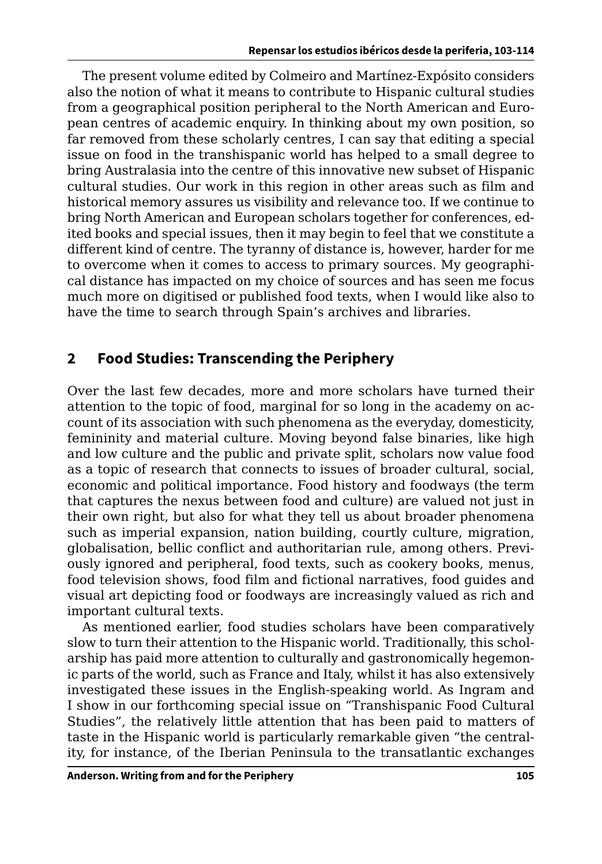<span id="page-2-0"></span>The present volume edited by Colmeiro and Martínez-Expósito considers also the notion of what it means to contribute to Hispanic cultural studies from a geographical position peripheral to the North American and European centres of academic enquiry. In thinking about my own position, so far removed from these scholarly centres, I can say that editing a special issue on food in the transhispanic world has helped to a small degree to bring Australasia into the centre of this innovative new subset of Hispanic cultural studies. Our work in this region in other areas such as film and historical memory assures us visibility and relevance too. If we continue to bring North American and European scholars together for conferences, edited books and special issues, then it may begin to feel that we constitute a different kind of centre. The tyranny of distance is, however, harder for me to overcome when it comes to access to primary sources. My geographical distance has impacted on my choice of sources and has seen me focus much more on digitised or published food texts, when I would like also to have the time to search through Spain's archives and libraries.

## **2 Food Studies: Transcending the Periphery**

Over the last few decades, more and more scholars have turned their attention to the topic of food, marginal for so long in the academy on account of its association with such phenomena as the everyday, domesticity, femininity and material culture. Moving beyond false binaries, like high and low culture and the public and private split, scholars now value food as a topic of research that connects to issues of broader cultural, social, economic and political importance. Food history and foodways (the term that captures the nexus between food and culture) are valued not just in their own right, but also for what they tell us about broader phenomena such as imperial expansion, nation building, courtly culture, migration, globalisation, bellic conflict and authoritarian rule, among others. Previously ignored and peripheral, food texts, such as cookery books, menus, food television shows, food film and fictional narratives, food guides and visual art depicting food or foodways are increasingly valued as rich and important cultural texts.

As mentioned earlier, food studies scholars have been comparatively slow to turn their attention to the Hispanic world. Traditionally, this scholarship has paid more attention to culturally and gastronomically hegemonic parts of the world, such as France and Italy, whilst it has also extensively investigated these issues in the English-speaking world. As Ingram and I show in our forthcoming special issue on "Transhispanic Food Cultural Studies", the relatively little attention that has been paid to matters of taste in the Hispanic world is particularly remarkable given "the centrality, for instance, of the Iberian Peninsula to the transatlantic exchanges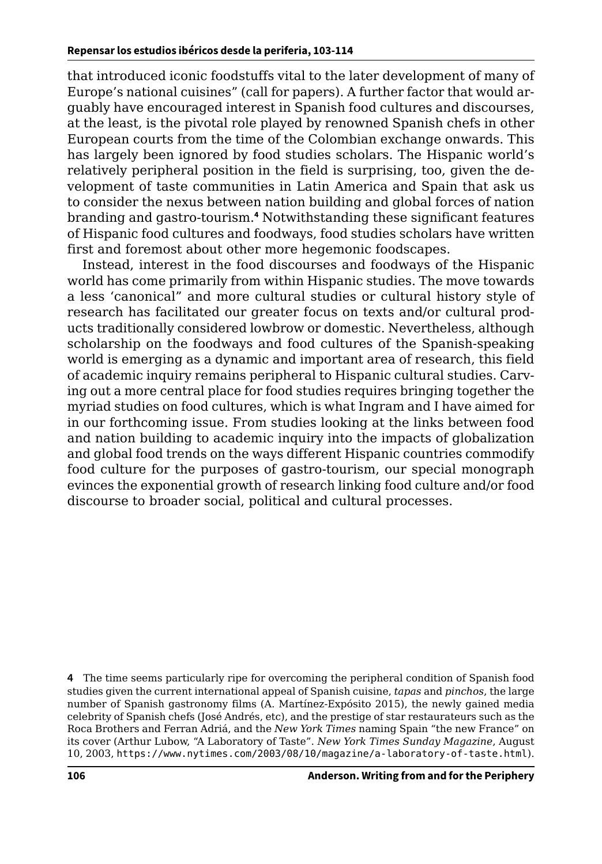that introduced iconic foodstuffs vital to the later development of many of Europe's national cuisines" (call for papers). A further factor that would arguably have encouraged interest in Spanish food cultures and discourses, at the least, is the pivotal role played by renowned Spanish chefs in other European courts from the time of the Colombian exchange onwards. This has largely been ignored by food studies scholars. The Hispanic world's relatively peripheral position in the field is surprising, too, given the development of taste communities in Latin America and Spain that ask us to consider the nexus between nation building and global forces of nation branding and gastro-tourism.**<sup>4</sup>** Notwithstanding these significant features of Hispanic food cultures and foodways, food studies scholars have written first and foremost about other more hegemonic foodscapes.

Instead, interest in the food discourses and foodways of the Hispanic world has come primarily from within Hispanic studies. The move towards a less 'canonical" and more cultural studies or cultural history style of research has facilitated our greater focus on texts and/or cultural products traditionally considered lowbrow or domestic. Nevertheless, although scholarship on the foodways and food cultures of the Spanish-speaking world is emerging as a dynamic and important area of research, this field of academic inquiry remains peripheral to Hispanic cultural studies. Carving out a more central place for food studies requires bringing together the myriad studies on food cultures, which is what Ingram and I have aimed for in our forthcoming issue. From studies looking at the links between food and nation building to academic inquiry into the impacts of globalization and global food trends on the ways different Hispanic countries commodify food culture for the purposes of gastro-tourism, our special monograph evinces the exponential growth of research linking food culture and/or food discourse to broader social, political and cultural processes.

**<sup>4</sup>** The time seems particularly ripe for overcoming the peripheral condition of Spanish food studies given the current international appeal of Spanish cuisine, *tapas* and *pinchos*, the large number of Spanish gastronomy films (A. Martínez-Expósito 2015), the newly gained media celebrity of Spanish chefs (José Andrés, etc), and the prestige of star restaurateurs such as the Roca Brothers and Ferran Adriá, and the *New York Times* naming Spain "the new France" on its cover (Arthur Lubow, "A Laboratory of Taste". *New York Times Sunday Magazine*, August 10, 2003, <https://www.nytimes.com/2003/08/10/magazine/a-laboratory-of-taste.html>).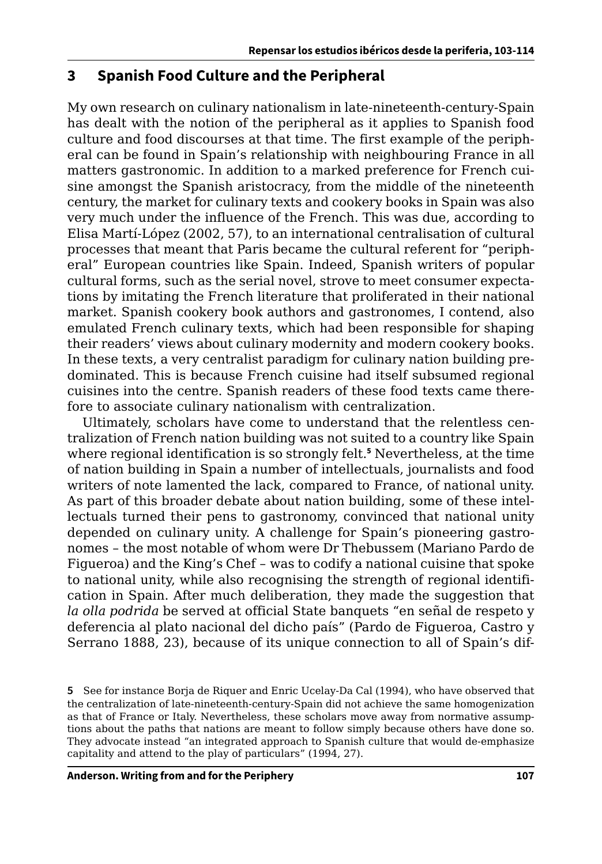#### **3 Spanish Food Culture and the Peripheral**

My own research on culinary nationalism in late-nineteenth-century-Spain has dealt with the notion of the peripheral as it applies to Spanish food culture and food discourses at that time. The first example of the peripheral can be found in Spain's relationship with neighbouring France in all matters gastronomic. In addition to a marked preference for French cuisine amongst the Spanish aristocracy, from the middle of the nineteenth century, the market for culinary texts and cookery books in Spain was also very much under the influence of the French. This was due, according to Elisa Martí-López (2002, 57), to an international centralisation of cultural processes that meant that Paris became the cultural referent for "peripheral" European countries like Spain. Indeed, Spanish writers of popular cultural forms, such as the serial novel, strove to meet consumer expectations by imitating the French literature that proliferated in their national market. Spanish cookery book authors and gastronomes, I contend, also emulated French culinary texts, which had been responsible for shaping their readers' views about culinary modernity and modern cookery books. In these texts, a very centralist paradigm for culinary nation building predominated. This is because French cuisine had itself subsumed regional cuisines into the centre. Spanish readers of these food texts came therefore to associate culinary nationalism with centralization.

Ultimately, scholars have come to understand that the relentless centralization of French nation building was not suited to a country like Spain where regional identification is so strongly felt.**<sup>5</sup>** Nevertheless, at the time of nation building in Spain a number of intellectuals, journalists and food writers of note lamented the lack, compared to France, of national unity. As part of this broader debate about nation building, some of these intellectuals turned their pens to gastronomy, convinced that national unity depended on culinary unity. A challenge for Spain's pioneering gastronomes – the most notable of whom were Dr Thebussem (Mariano Pardo de Figueroa) and the King's Chef – was to codify a national cuisine that spoke to national unity, while also recognising the strength of regional identification in Spain. After much deliberation, they made the suggestion that *la olla podrida* be served at official State banquets "en señal de respeto y deferencia al plato nacional del dicho país" (Pardo de Figueroa, Castro y Serrano 1888, 23), because of its unique connection to all of Spain's dif-

**<sup>5</sup>** See for instance Borja de Riquer and Enric Ucelay-Da Cal (1994), who have observed that the centralization of late-nineteenth-century-Spain did not achieve the same homogenization as that of France or Italy. Nevertheless, these scholars move away from normative assumptions about the paths that nations are meant to follow simply because others have done so. They advocate instead "an integrated approach to Spanish culture that would de-emphasize capitality and attend to the play of particulars" (1994, 27).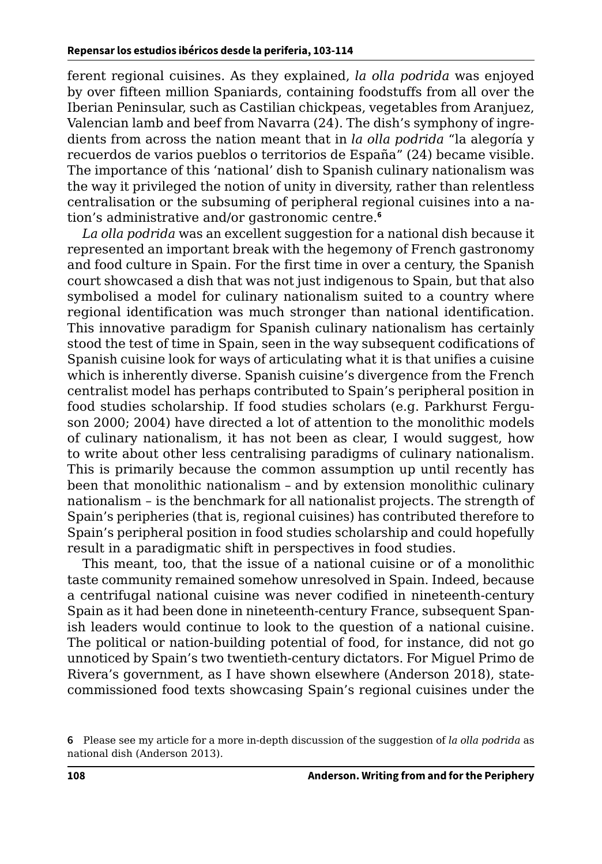ferent regional cuisines. As they explained, *la olla podrida* was enjoyed by over fifteen million Spaniards, containing foodstuffs from all over the Iberian Peninsular, such as Castilian chickpeas, vegetables from Aranjuez, Valencian lamb and beef from Navarra (24). The dish's symphony of ingredients from across the nation meant that in *la olla podrida* "la alegoría y recuerdos de varios pueblos o territorios de España" (24) became visible. The importance of this 'national' dish to Spanish culinary nationalism was the way it privileged the notion of unity in diversity, rather than relentless centralisation or the subsuming of peripheral regional cuisines into a nation's administrative and/or gastronomic centre.**<sup>6</sup>**

*La olla podrida* was an excellent suggestion for a national dish because it represented an important break with the hegemony of French gastronomy and food culture in Spain. For the first time in over a century, the Spanish court showcased a dish that was not just indigenous to Spain, but that also symbolised a model for culinary nationalism suited to a country where regional identification was much stronger than national identification. This innovative paradigm for Spanish culinary nationalism has certainly stood the test of time in Spain, seen in the way subsequent codifications of Spanish cuisine look for ways of articulating what it is that unifies a cuisine which is inherently diverse. Spanish cuisine's divergence from the French centralist model has perhaps contributed to Spain's peripheral position in food studies scholarship. If food studies scholars (e.g. Parkhurst Ferguson 2000; 2004) have directed a lot of attention to the monolithic models of culinary nationalism, it has not been as clear, I would suggest, how to write about other less centralising paradigms of culinary nationalism. This is primarily because the common assumption up until recently has been that monolithic nationalism – and by extension monolithic culinary nationalism – is the benchmark for all nationalist projects. The strength of Spain's peripheries (that is, regional cuisines) has contributed therefore to Spain's peripheral position in food studies scholarship and could hopefully result in a paradigmatic shift in perspectives in food studies.

This meant, too, that the issue of a national cuisine or of a monolithic taste community remained somehow unresolved in Spain. Indeed, because a centrifugal national cuisine was never codified in nineteenth-century Spain as it had been done in nineteenth-century France, subsequent Spanish leaders would continue to look to the question of a national cuisine. The political or nation-building potential of food, for instance, did not go unnoticed by Spain's two twentieth-century dictators. For Miguel Primo de Rivera's government, as I have shown elsewhere (Anderson 2018), statecommissioned food texts showcasing Spain's regional cuisines under the

**<sup>6</sup>** Please see my article for a more in-depth discussion of the suggestion of *la olla podrida* as national dish (Anderson 2013).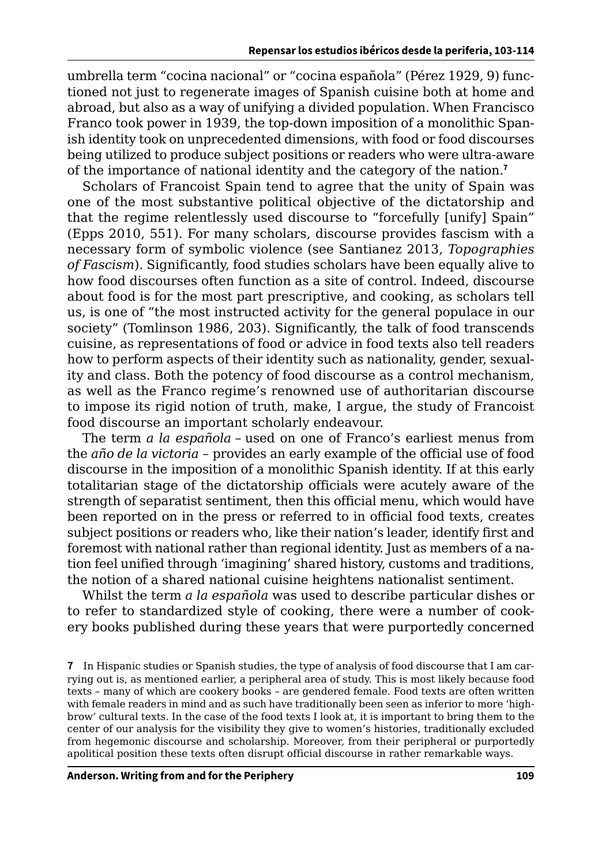umbrella term "cocina nacional" or "cocina española" (Pérez 1929, 9) functioned not just to regenerate images of Spanish cuisine both at home and abroad, but also as a way of unifying a divided population. When Francisco Franco took power in 1939, the top-down imposition of a monolithic Spanish identity took on unprecedented dimensions, with food or food discourses being utilized to produce subject positions or readers who were ultra-aware of the importance of national identity and the category of the nation.**<sup>7</sup>**

Scholars of Francoist Spain tend to agree that the unity of Spain was one of the most substantive political objective of the dictatorship and that the regime relentlessly used discourse to "forcefully [unify] Spain" (Epps 2010, 551). For many scholars, discourse provides fascism with a necessary form of symbolic violence (see Santianez 2013, *Topographies of Fascism*). Significantly, food studies scholars have been equally alive to how food discourses often function as a site of control. Indeed, discourse about food is for the most part prescriptive, and cooking, as scholars tell us, is one of "the most instructed activity for the general populace in our society" (Tomlinson 1986, 203). Significantly, the talk of food transcends cuisine, as representations of food or advice in food texts also tell readers how to perform aspects of their identity such as nationality, gender, sexuality and class. Both the potency of food discourse as a control mechanism, as well as the Franco regime's renowned use of authoritarian discourse to impose its rigid notion of truth, make, I argue, the study of Francoist food discourse an important scholarly endeavour.

The term *a la española* – used on one of Franco's earliest menus from the *año de la victoria* – provides an early example of the official use of food discourse in the imposition of a monolithic Spanish identity. If at this early totalitarian stage of the dictatorship officials were acutely aware of the strength of separatist sentiment, then this official menu, which would have been reported on in the press or referred to in official food texts, creates subject positions or readers who, like their nation's leader, identify first and foremost with national rather than regional identity. Just as members of a nation feel unified through 'imagining' shared history, customs and traditions, the notion of a shared national cuisine heightens nationalist sentiment.

Whilst the term *a la española* was used to describe particular dishes or to refer to standardized style of cooking, there were a number of cookery books published during these years that were purportedly concerned

**<sup>7</sup>** In Hispanic studies or Spanish studies, the type of analysis of food discourse that I am carrying out is, as mentioned earlier, a peripheral area of study. This is most likely because food texts – many of which are cookery books – are gendered female. Food texts are often written with female readers in mind and as such have traditionally been seen as inferior to more 'highbrow' cultural texts. In the case of the food texts I look at, it is important to bring them to the center of our analysis for the visibility they give to women's histories, traditionally excluded from hegemonic discourse and scholarship. Moreover, from their peripheral or purportedly apolitical position these texts often disrupt official discourse in rather remarkable ways.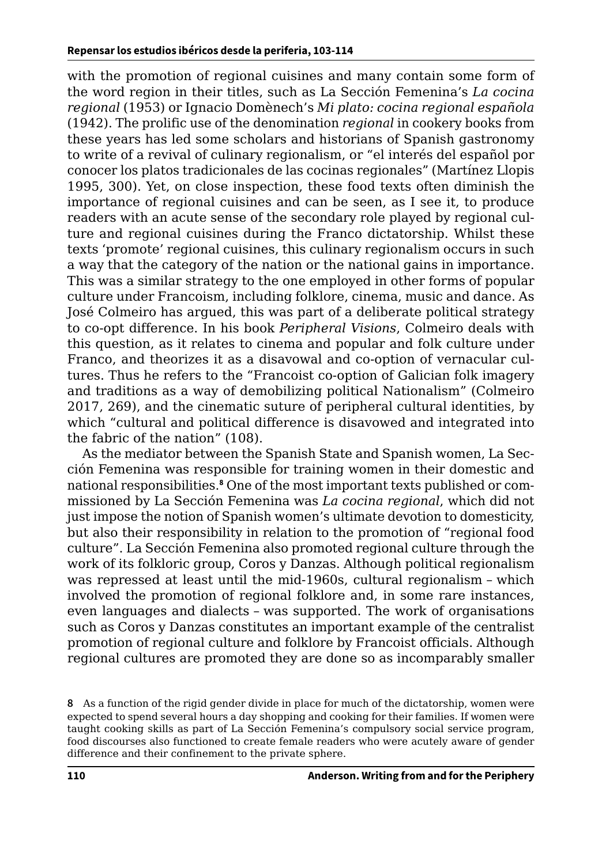with the promotion of regional cuisines and many contain some form of the word region in their titles, such as La Sección Femenina's *La cocina regional* (1953) or Ignacio Domènech's *Mi plato: cocina regional española*  (1942). The prolific use of the denomination *regional* in cookery books from these years has led some scholars and historians of Spanish gastronomy to write of a revival of culinary regionalism, or "el interés del español por conocer los platos tradicionales de las cocinas regionales" (Martínez Llopis 1995, 300). Yet, on close inspection, these food texts often diminish the importance of regional cuisines and can be seen, as I see it, to produce readers with an acute sense of the secondary role played by regional culture and regional cuisines during the Franco dictatorship. Whilst these texts 'promote' regional cuisines, this culinary regionalism occurs in such a way that the category of the nation or the national gains in importance. This was a similar strategy to the one employed in other forms of popular culture under Francoism, including folklore, cinema, music and dance. As José Colmeiro has argued, this was part of a deliberate political strategy to co-opt difference. In his book *Peripheral Visions*, Colmeiro deals with this question, as it relates to cinema and popular and folk culture under Franco, and theorizes it as a disavowal and co-option of vernacular cultures. Thus he refers to the "Francoist co-option of Galician folk imagery and traditions as a way of demobilizing political Nationalism" (Colmeiro 2017, 269), and the cinematic suture of peripheral cultural identities, by which "cultural and political difference is disavowed and integrated into the fabric of the nation" (108).

As the mediator between the Spanish State and Spanish women, La Sección Femenina was responsible for training women in their domestic and national responsibilities.**<sup>8</sup>** One of the most important texts published or commissioned by La Sección Femenina was *La cocina regional*, which did not just impose the notion of Spanish women's ultimate devotion to domesticity, but also their responsibility in relation to the promotion of "regional food culture". La Sección Femenina also promoted regional culture through the work of its folkloric group, Coros y Danzas. Although political regionalism was repressed at least until the mid-1960s, cultural regionalism – which involved the promotion of regional folklore and, in some rare instances, even languages and dialects – was supported. The work of organisations such as Coros y Danzas constitutes an important example of the centralist promotion of regional culture and folklore by Francoist officials. Although regional cultures are promoted they are done so as incomparably smaller

**<sup>8</sup>** As a function of the rigid gender divide in place for much of the dictatorship, women were expected to spend several hours a day shopping and cooking for their families. If women were taught cooking skills as part of La Sección Femenina's compulsory social service program, food discourses also functioned to create female readers who were acutely aware of gender difference and their confinement to the private sphere.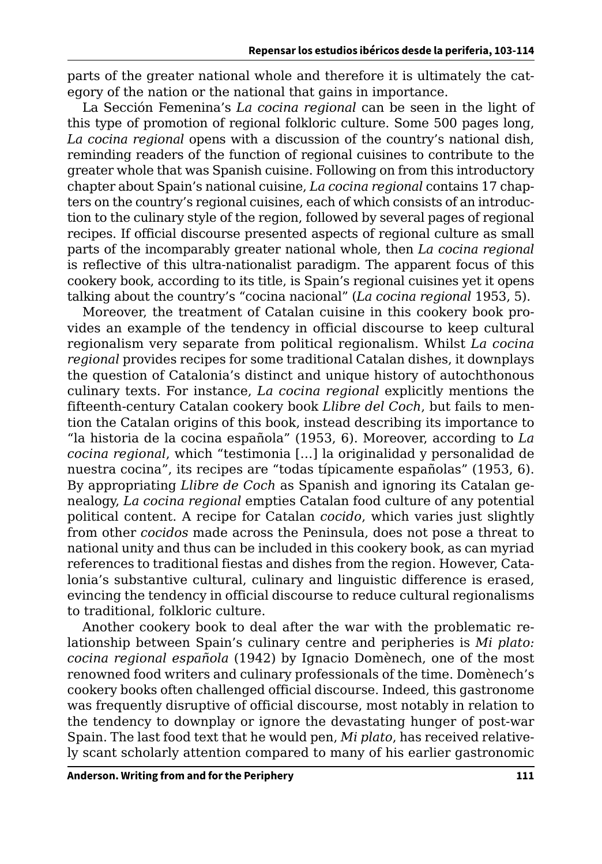parts of the greater national whole and therefore it is ultimately the category of the nation or the national that gains in importance.

La Sección Femenina's *La cocina regional* can be seen in the light of this type of promotion of regional folkloric culture. Some 500 pages long, *La cocina regional* opens with a discussion of the country's national dish, reminding readers of the function of regional cuisines to contribute to the greater whole that was Spanish cuisine. Following on from this introductory chapter about Spain's national cuisine, *La cocina regional* contains 17 chapters on the country's regional cuisines, each of which consists of an introduction to the culinary style of the region, followed by several pages of regional recipes. If official discourse presented aspects of regional culture as small parts of the incomparably greater national whole, then *La cocina regional* is reflective of this ultra-nationalist paradigm. The apparent focus of this cookery book, according to its title, is Spain's regional cuisines yet it opens talking about the country's "cocina nacional" (*La cocina regional* 1953, 5).

Moreover, the treatment of Catalan cuisine in this cookery book provides an example of the tendency in official discourse to keep cultural regionalism very separate from political regionalism. Whilst *La cocina regional* provides recipes for some traditional Catalan dishes, it downplays the question of Catalonia's distinct and unique history of autochthonous culinary texts. For instance, *La cocina regional* explicitly mentions the fifteenth-century Catalan cookery book *Llibre del Coch*, but fails to mention the Catalan origins of this book, instead describing its importance to "la historia de la cocina española" (1953, 6). Moreover, according to *La cocina regional*, which "testimonia […] la originalidad y personalidad de nuestra cocina", its recipes are "todas típicamente españolas" (1953, 6). By appropriating *Llibre de Coch* as Spanish and ignoring its Catalan genealogy, *La cocina regional* empties Catalan food culture of any potential political content. A recipe for Catalan *cocido*, which varies just slightly from other *cocidos* made across the Peninsula, does not pose a threat to national unity and thus can be included in this cookery book, as can myriad references to traditional fiestas and dishes from the region. However, Catalonia's substantive cultural, culinary and linguistic difference is erased, evincing the tendency in official discourse to reduce cultural regionalisms to traditional, folkloric culture.

Another cookery book to deal after the war with the problematic relationship between Spain's culinary centre and peripheries is *Mi plato: cocina regional española* (1942) by Ignacio Domènech, one of the most renowned food writers and culinary professionals of the time. Domènech's cookery books often challenged official discourse. Indeed, this gastronome was frequently disruptive of official discourse, most notably in relation to the tendency to downplay or ignore the devastating hunger of post-war Spain. The last food text that he would pen, *Mi plato*, has received relatively scant scholarly attention compared to many of his earlier gastronomic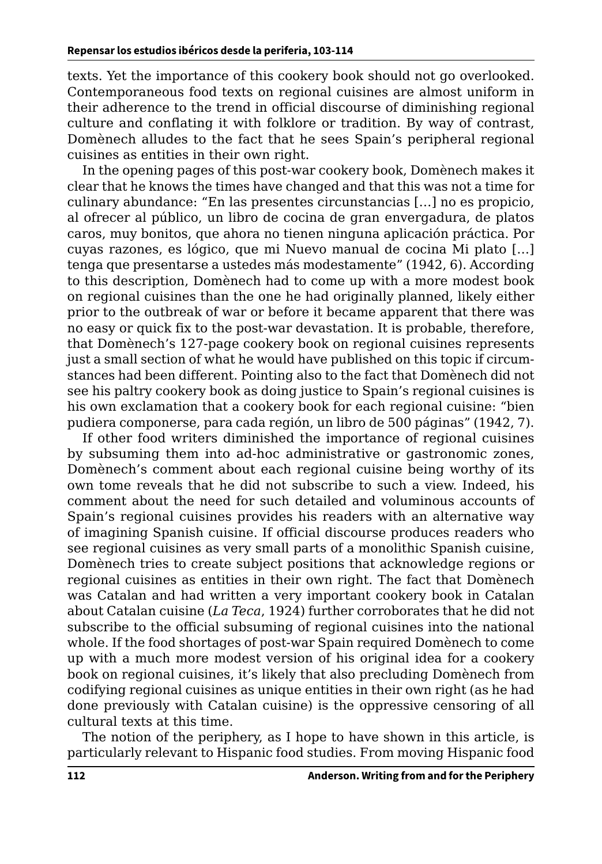texts. Yet the importance of this cookery book should not go overlooked. Contemporaneous food texts on regional cuisines are almost uniform in their adherence to the trend in official discourse of diminishing regional culture and conflating it with folklore or tradition. By way of contrast, Domènech alludes to the fact that he sees Spain's peripheral regional cuisines as entities in their own right.

In the opening pages of this post-war cookery book, Domènech makes it clear that he knows the times have changed and that this was not a time for culinary abundance: "En las presentes circunstancias […] no es propicio, al ofrecer al público, un libro de cocina de gran envergadura, de platos caros, muy bonitos, que ahora no tienen ninguna aplicación práctica. Por cuyas razones, es lógico, que mi Nuevo manual de cocina Mi plato […] tenga que presentarse a ustedes más modestamente" (1942, 6). According to this description, Domènech had to come up with a more modest book on regional cuisines than the one he had originally planned, likely either prior to the outbreak of war or before it became apparent that there was no easy or quick fix to the post-war devastation. It is probable, therefore, that Domènech's 127-page cookery book on regional cuisines represents just a small section of what he would have published on this topic if circumstances had been different. Pointing also to the fact that Domènech did not see his paltry cookery book as doing justice to Spain's regional cuisines is his own exclamation that a cookery book for each regional cuisine: "bien pudiera componerse, para cada región, un libro de 500 páginas" (1942, 7).

If other food writers diminished the importance of regional cuisines by subsuming them into ad-hoc administrative or gastronomic zones, Domènech's comment about each regional cuisine being worthy of its own tome reveals that he did not subscribe to such a view. Indeed, his comment about the need for such detailed and voluminous accounts of Spain's regional cuisines provides his readers with an alternative way of imagining Spanish cuisine. If official discourse produces readers who see regional cuisines as very small parts of a monolithic Spanish cuisine, Domènech tries to create subject positions that acknowledge regions or regional cuisines as entities in their own right. The fact that Domènech was Catalan and had written a very important cookery book in Catalan about Catalan cuisine (*La Teca*, 1924) further corroborates that he did not subscribe to the official subsuming of regional cuisines into the national whole. If the food shortages of post-war Spain required Domènech to come up with a much more modest version of his original idea for a cookery book on regional cuisines, it's likely that also precluding Domènech from codifying regional cuisines as unique entities in their own right (as he had done previously with Catalan cuisine) is the oppressive censoring of all cultural texts at this time.

The notion of the periphery, as I hope to have shown in this article, is particularly relevant to Hispanic food studies. From moving Hispanic food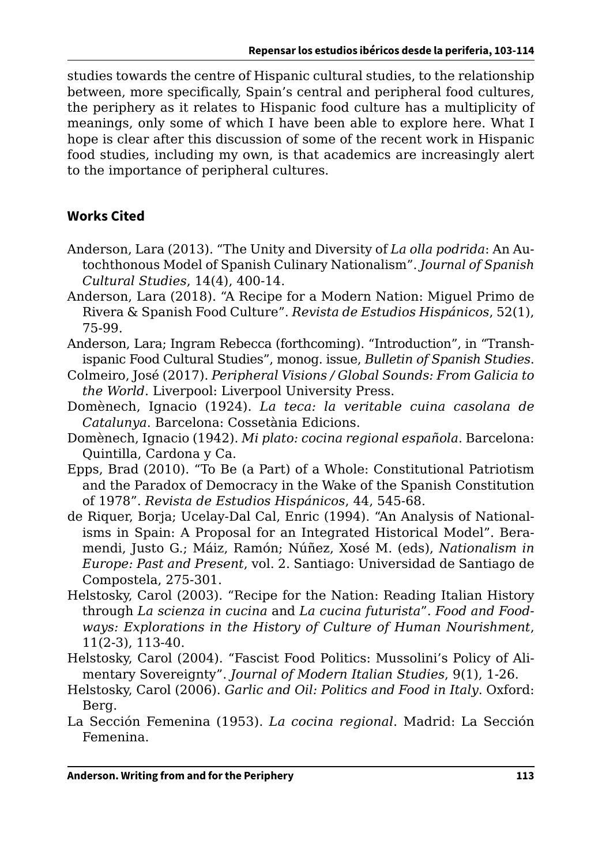studies towards the centre of Hispanic cultural studies, to the relationship between, more specifically, Spain's central and peripheral food cultures, the periphery as it relates to Hispanic food culture has a multiplicity of meanings, only some of which I have been able to explore here. What I hope is clear after this discussion of some of the recent work in Hispanic food studies, including my own, is that academics are increasingly alert to the importance of peripheral cultures.

### **Works Cited**

- Anderson, Lara (2013). "The Unity and Diversity of *La olla podrida*: An Autochthonous Model of Spanish Culinary Nationalism". *Journal of Spanish Cultural Studies*, 14(4), 400-14.
- Anderson, Lara (2018). "A Recipe for a Modern Nation: Miguel Primo de Rivera & Spanish Food Culture". *Revista de Estudios Hispánicos*, 52(1), 75-99.
- Anderson, Lara; Ingram Rebecca (forthcoming). "Introduction", in "Transhispanic Food Cultural Studies", monog. issue, *Bulletin of Spanish Studies*.
- Colmeiro, José (2017). *Peripheral Visions / Global Sounds: From Galicia to the World*. Liverpool: Liverpool University Press.
- Domènech, Ignacio (1924). *La teca: la veritable cuina casolana de Catalunya*. Barcelona: Cossetània Edicions.
- Domènech, Ignacio (1942). *Mi plato: cocina regional española*. Barcelona: Quintilla, Cardona y Ca.
- Epps, Brad (2010). "To Be (a Part) of a Whole: Constitutional Patriotism and the Paradox of Democracy in the Wake of the Spanish Constitution of 1978". *Revista de Estudios Hispánicos*, 44, 545-68.
- de Riquer, Borja; Ucelay-Dal Cal, Enric (1994). "An Analysis of Nationalisms in Spain: A Proposal for an Integrated Historical Model". Beramendi, Justo G.; Máiz, Ramón; Núñez, Xosé M. (eds), *Nationalism in Europe: Past and Present*, vol. 2. Santiago: Universidad de Santiago de Compostela, 275-301.
- Helstosky, Carol (2003). "Recipe for the Nation: Reading Italian History through *La scienza in cucina* and *La cucina futurista*". *Food and Foodways: Explorations in the History of Culture of Human Nourishment*, 11(2-3), 113-40.
- Helstosky, Carol (2004). "Fascist Food Politics: Mussolini's Policy of Alimentary Sovereignty". *Journal of Modern Italian Studies*, 9(1), 1-26.
- Helstosky, Carol (2006). *Garlic and Oil: Politics and Food in Italy*. Oxford: Berg.
- La Sección Femenina (1953). *La cocina regional*. Madrid: La Sección Femenina.